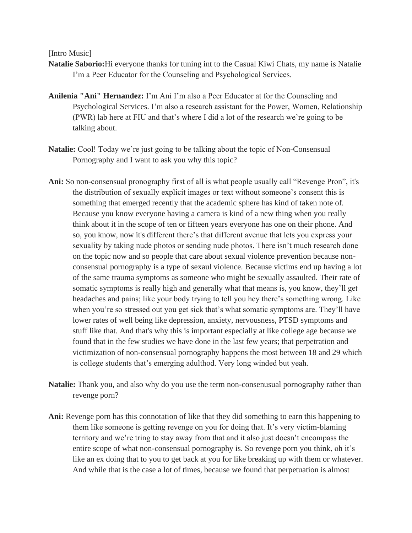[Intro Music]

- **Natalie Saborio:**Hi everyone thanks for tuning int to the Casual Kiwi Chats, my name is Natalie I'm a Peer Educator for the Counseling and Psychological Services.
- **Anilenia "Ani" Hernandez:** I'm Ani I'm also a Peer Educator at for the Counseling and Psychological Services. I'm also a research assistant for the Power, Women, Relationship (PWR) lab here at FIU and that's where I did a lot of the research we're going to be talking about.
- **Natalie:** Cool! Today we're just going to be talking about the topic of Non-Consensual Pornography and I want to ask you why this topic?
- **Ani:** So non-consensual pronography first of all is what people usually call "Revenge Pron", it's the distribution of sexually explicit images or text without someone's consent this is something that emerged recently that the academic sphere has kind of taken note of. Because you know everyone having a camera is kind of a new thing when you really think about it in the scope of ten or fifteen years everyone has one on their phone. And so, you know, now it's different there's that different avenue that lets you express your sexuality by taking nude photos or sending nude photos. There isn't much research done on the topic now and so people that care about sexual violence prevention because nonconsensual pornography is a type of sexaul violence. Because victims end up having a lot of the same trauma symptoms as someone who might be sexually assaulted. Their rate of somatic symptoms is really high and generally what that means is, you know, they'll get headaches and pains; like your body trying to tell you hey there's something wrong. Like when you're so stressed out you get sick that's what somatic symptoms are. They'll have lower rates of well being like depression, anxiety, nervousness, PTSD symptoms and stuff like that. And that's why this is important especially at like college age because we found that in the few studies we have done in the last few years; that perpetration and victimization of non-consensual pornography happens the most between 18 and 29 which is college students that's emerging adulthod. Very long winded but yeah.
- **Natalie:** Thank you, and also why do you use the term non-consenusual pornography rather than revenge porn?
- **Ani:** Revenge porn has this connotation of like that they did something to earn this happening to them like someone is getting revenge on you for doing that. It's very victim-blaming territory and we're tring to stay away from that and it also just doesn't encompass the entire scope of what non-consensual pornography is. So revenge porn you think, oh it's like an ex doing that to you to get back at you for like breaking up with them or whatever. And while that is the case a lot of times, because we found that perpetuation is almost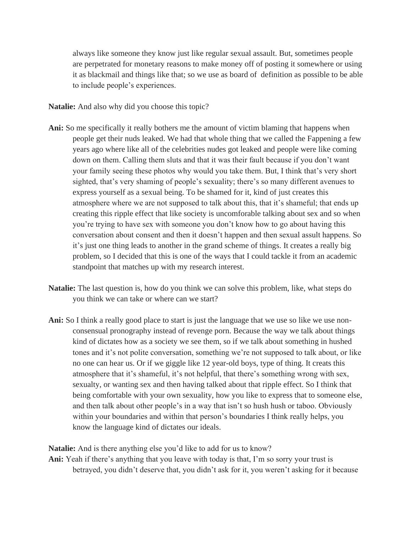always like someone they know just like regular sexual assault. But, sometimes people are perpetrated for monetary reasons to make money off of posting it somewhere or using it as blackmail and things like that; so we use as board of definition as possible to be able to include people's experiences.

**Natalie:** And also why did you choose this topic?

- **Ani:** So me specifically it really bothers me the amount of victim blaming that happens when people get their nuds leaked. We had that whole thing that we called the Fappening a few years ago where like all of the celebrities nudes got leaked and people were like coming down on them. Calling them sluts and that it was their fault because if you don't want your family seeing these photos why would you take them. But, I think that's very short sighted, that's very shaming of people's sexuality; there's so many different avenues to express yourself as a sexual being. To be shamed for it, kind of just creates this atmosphere where we are not supposed to talk about this, that it's shameful; that ends up creating this ripple effect that like society is uncomforable talking about sex and so when you're trying to have sex with someone you don't know how to go about having this conversation about consent and then it doesn't happen and then sexual assult happens. So it's just one thing leads to another in the grand scheme of things. It creates a really big problem, so I decided that this is one of the ways that I could tackle it from an academic standpoint that matches up with my research interest.
- **Natalie:** The last question is, how do you think we can solve this problem, like, what steps do you think we can take or where can we start?
- Ani: So I think a really good place to start is just the language that we use so like we use nonconsensual pronography instead of revenge porn. Because the way we talk about things kind of dictates how as a society we see them, so if we talk about something in hushed tones and it's not polite conversation, something we're not supposed to talk about, or like no one can hear us. Or if we giggle like 12 year-old boys, type of thing. It creats this atmosphere that it's shameful, it's not helpful, that there's something wrong with sex, sexualty, or wanting sex and then having talked about that ripple effect. So I think that being comfortable with your own sexuality, how you like to express that to someone else, and then talk about other people's in a way that isn't so hush hush or taboo. Obviously within your boundaries and within that person's boundaries I think really helps, you know the language kind of dictates our ideals.

**Natalie:** And is there anything else you'd like to add for us to know?

**Ani:** Yeah if there's anything that you leave with today is that, I'm so sorry your trust is betrayed, you didn't deserve that, you didn't ask for it, you weren't asking for it because